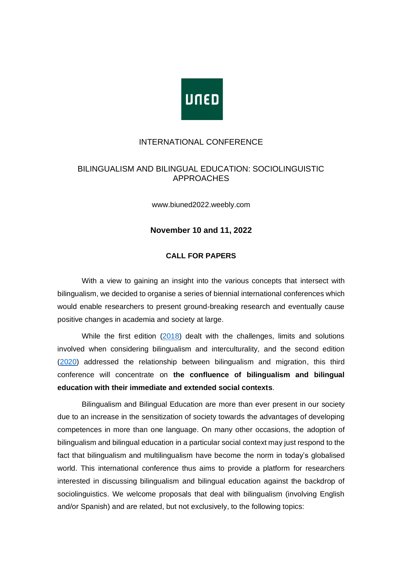

#### INTERNATIONAL CONFERENCE

## BILINGUALISM AND BILINGUAL EDUCATION: SOCIOLINGUISTIC APPROACHES

www.biuned2022.weebly.com

#### **November 10 and 11, 2022**

#### **CALL FOR PAPERS**

With a view to gaining an insight into the various concepts that intersect with bilingualism, we decided to organise a series of biennial international conferences which would enable researchers to present ground-breaking research and eventually cause positive changes in academia and society at large.

While the first edition [\(2018\)](https://biuned.weebly.com/) dealt with the challenges, limits and solutions involved when considering bilingualism and interculturality, and the second edition [\(2020\)](https://biuned2020.weebly.com/) addressed the relationship between bilingualism and migration, this third conference will concentrate on **the confluence of bilingualism and bilingual education with their immediate and extended social contexts**.

Bilingualism and Bilingual Education are more than ever present in our society due to an increase in the sensitization of society towards the advantages of developing competences in more than one language. On many other occasions, the adoption of bilingualism and bilingual education in a particular social context may just respond to the fact that bilingualism and multilingualism have become the norm in today's globalised world. This international conference thus aims to provide a platform for researchers interested in discussing bilingualism and bilingual education against the backdrop of sociolinguistics. We welcome proposals that deal with bilingualism (involving English and/or Spanish) and are related, but not exclusively, to the following topics: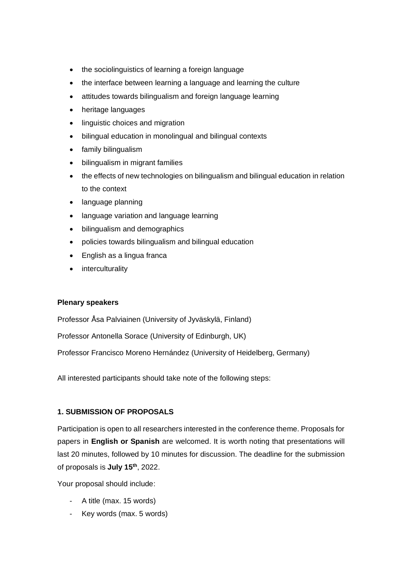- the sociolinguistics of learning a foreign language
- the interface between learning a language and learning the culture
- attitudes towards bilingualism and foreign language learning
- heritage languages
- linguistic choices and migration
- bilingual education in monolingual and bilingual contexts
- family bilingualism
- bilingualism in migrant families
- the effects of new technologies on bilingualism and bilingual education in relation to the context
- language planning
- language variation and language learning
- bilingualism and demographics
- policies towards bilingualism and bilingual education
- English as a lingua franca
- interculturality

### **Plenary speakers**

Professor Åsa Palviainen (University of Jyväskylä, Finland)

Professor Antonella Sorace (University of Edinburgh, UK)

Professor Francisco Moreno Hernández (University of Heidelberg, Germany)

All interested participants should take note of the following steps:

### **1. SUBMISSION OF PROPOSALS**

Participation is open to all researchers interested in the conference theme. Proposals for papers in **English or Spanish** are welcomed. It is worth noting that presentations will last 20 minutes, followed by 10 minutes for discussion. The deadline for the submission of proposals is **July 15 th**, 2022.

Your proposal should include:

- A title (max. 15 words)
- Key words (max. 5 words)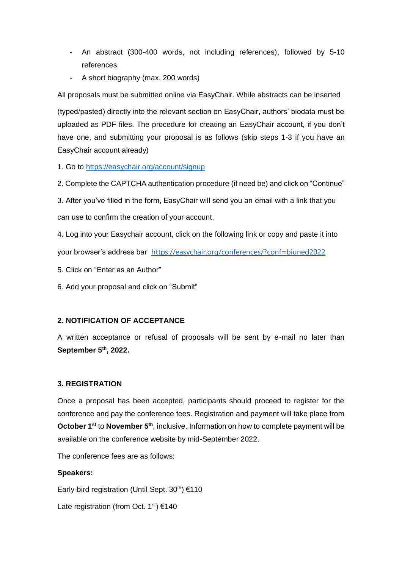- An abstract (300-400 words, not including references), followed by 5-10 references.
- A short biography (max. 200 words)

All proposals must be submitted online via EasyChair. While abstracts can be inserted

(typed/pasted) directly into the relevant section on EasyChair, authors' biodata must be uploaded as PDF files. The procedure for creating an EasyChair account, if you don't have one, and submitting your proposal is as follows (skip steps 1-3 if you have an EasyChair account already)

1. Go to<https://easychair.org/account/signup>

2. Complete the CAPTCHA authentication procedure (if need be) and click on "Continue"

3. After you've filled in the form, EasyChair will send you an email with a link that you can use to confirm the creation of your account.

4. Log into your Easychair account, click on the following link or copy and paste it into your browser's address bar <https://easychair.org/conferences/?conf=biuned2022>

- 5. Click on "Enter as an Author"
- 6. Add your proposal and click on "Submit"

# **2. NOTIFICATION OF ACCEPTANCE**

A written acceptance or refusal of proposals will be sent by e-mail no later than **September 5 th, 2022.**

### **3. REGISTRATION**

Once a proposal has been accepted, participants should proceed to register for the conference and pay the conference fees. Registration and payment will take place from **October 1<sup>st</sup>** to **November 5<sup>th</sup>**, inclusive. Information on how to complete payment will be available on the conference website by mid-September 2022.

The conference fees are as follows:

# **Speakers:**

Early-bird registration (Until Sept.  $30<sup>th</sup>$ ) €110

Late registration (from Oct.  $1^{st}$ ) €140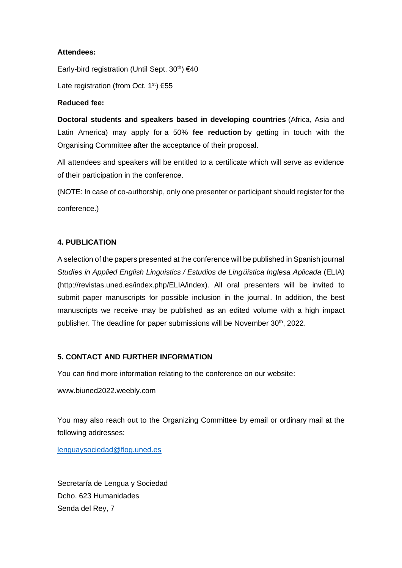## **Attendees:**

Early-bird registration (Until Sept.  $30<sup>th</sup>$ )  $640$ 

Late registration (from Oct.  $1^{st}$ )  $655$ 

## **Reduced fee:**

**Doctoral students and speakers based in developing countries** (Africa, Asia and Latin America) may apply for a 50% **fee reduction** by getting in touch with the Organising Committee after the acceptance of their proposal.

All attendees and speakers will be entitled to a certificate which will serve as evidence of their participation in the conference.

(NOTE: In case of co-authorship, only one presenter or participant should register for the conference.)

## **4. PUBLICATION**

A selection of the papers presented at the conference will be published in Spanish journal *Studies in Applied English Linguistics / Estudios de Lingüística Inglesa Aplicada* (ELIA) (http://revistas.uned.es/index.php/ELIA/index). All oral presenters will be invited to submit paper manuscripts for possible inclusion in the journal. In addition, the best manuscripts we receive may be published as an edited volume with a high impact publisher. The deadline for paper submissions will be November 30<sup>th</sup>, 2022.

### **5. CONTACT AND FURTHER INFORMATION**

You can find more information relating to the conference on our website:

www.biuned2022.weebly.com

You may also reach out to the Organizing Committee by email or ordinary mail at the following addresses:

[lenguaysociedad@flog.uned.es](mailto:lenguaysociedad@flog.uned.es)

Secretaría de Lengua y Sociedad Dcho. 623 Humanidades Senda del Rey, 7